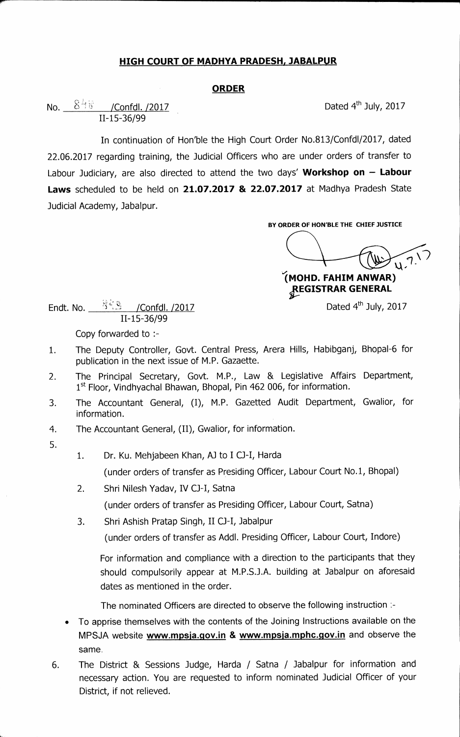## **HIGH COURT OF MADHYA PRADESH, JABALPUR**

## **ORDER**

**No.**  $8\frac{48}{8}$  /Confdl. /2017 **Dated 4th July, 2017 11-15-36/99** 

**In continuation of Hon'ble the High Court Order No.813/Confd1/2017, dated 22.06.2017 regarding training, the Judicial Officers who are under orders of transfer to Labour Judiciary, are also directed to attend the two days' Workshop on — Labour Laws scheduled to be held on 21.07.2017 & 22.07.2017 at Madhya Pradesh State Judicial Academy, Jabalpur.** 

**BY ORDER OF HON'BLE THE CHIEF JUSTICE** 

**(MOND. FAHIM AN WAR) REGISTRAR GENERAL** 

**Endt. No.** 55.3 / Confdl. /2017 **Dated 4th July, 2017 11-15-36/99** 

**Copy forwarded to :-** 

- **1. The Deputy Controller, Govt. Central Press, Arera Hills, Habibganj, Bhopal-6 for publication in the next issue of M.P. Gazaette.**
- **2. The Principal Secretary, Govt. M.P., Law & Legislative Affairs Department, 1st Floor, Vindhyachal Bhawan, Bhopal, Pin 462 006, for information.**
- **3. The Accountant General, (I), M.P. Gazetted Audit Department, Gwalior, for information.**
- **4. The Accountant General, (II), Gwalior, for information.**
- **5.**
- **1. Dr. Ku. Mehjabeen Khan, AJ to I CJ-I, Harda**

**(under orders of transfer as Presiding Officer, Labour Court No.1, Bhopal)** 

- **2. Shri Nilesh Yadav, IV CJ-I, Satna (under orders of transfer as Presiding Officer, Labour Court, Satna)**
- **3. Shri Ashish Pratap Singh, II CJ-1, Jabalpur**

**(under orders of transfer as Addl. Presiding Officer, Labour Court, Indore)** 

**For information and compliance with a direction to the participants that they should compulsorily appear at M.P.S.J.A. building at Jabalpur on aforesaid dates as mentioned in the order.** 

**The nominated Officers are directed to observe the following instruction :-** 

- **To apprise themselves with the contents of the Joining Instructions available on the**  MPSJA website **www.mpsja.gov.in & www.mpsja.mphc.gov.in** and observe the **same.**
- **6. The District & Sessions Judge, Harda / Satna / Jabalpur for information and necessary action. You are requested to inform nominated Judicial Officer of your District, if not relieved.**